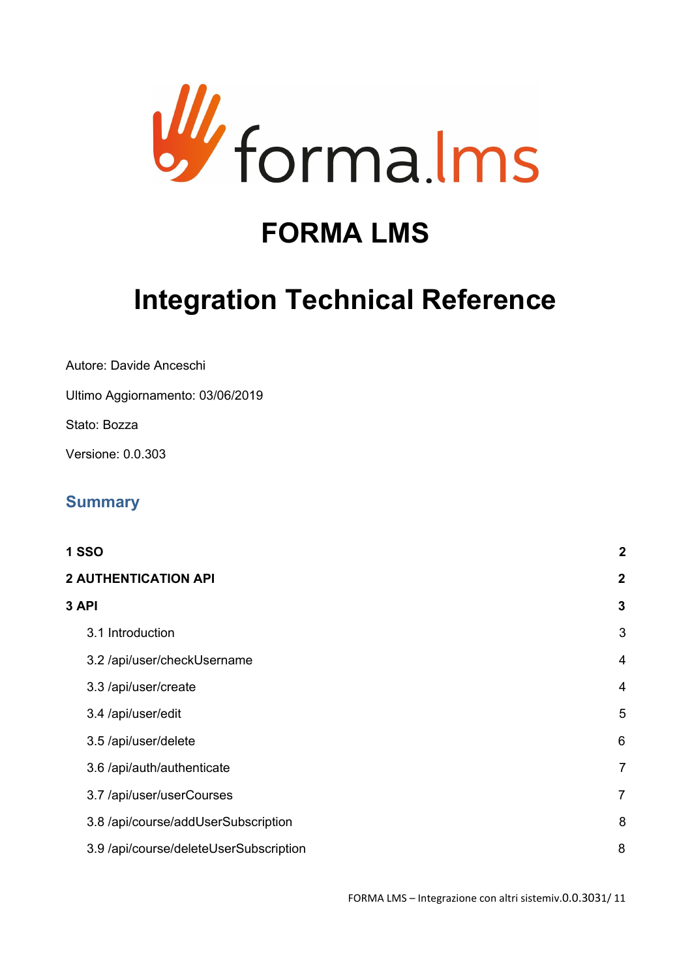

# **FORMA LMS**

# **Integration Technical Reference**

Autore: Davide Anceschi

Ultimo Aggiornamento: 03/06/2019

Stato: Bozza

Versione: 0.0.303

# **Summary**

| <b>1 SSO</b>                           | $\boldsymbol{2}$ |
|----------------------------------------|------------------|
| <b>2 AUTHENTICATION API</b>            | $\mathbf{2}$     |
| 3 API                                  | 3                |
| 3.1 Introduction                       | 3                |
| 3.2 /api/user/checkUsername            | $\overline{4}$   |
| 3.3 /api/user/create                   | $\overline{4}$   |
| 3.4 /api/user/edit                     | 5                |
| 3.5 /api/user/delete                   | 6                |
| 3.6 /api/auth/authenticate             | $\overline{7}$   |
| 3.7 /api/user/userCourses              | $\overline{7}$   |
| 3.8 /api/course/addUserSubscription    | 8                |
| 3.9 /api/course/deleteUserSubscription | 8                |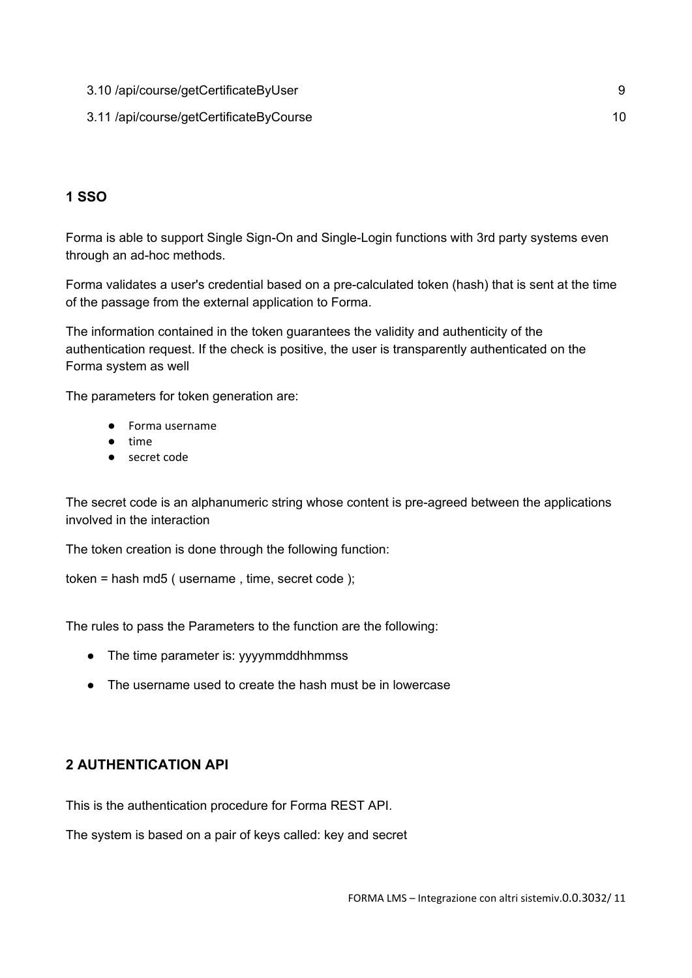3.10 [/api/course/getCertificateByUser](#page-8-0) [9](#page-8-0) 3.11 [/api/course/getCertificateByCourse](#page-9-0) [10](#page-9-0)

# <span id="page-1-0"></span>**1 SSO**

Forma is able to support Single Sign-On and Single-Login functions with 3rd party systems even through an ad-hoc methods.

Forma validates a user's credential based on a pre-calculated token (hash) that is sent at the time of the passage from the external application to Forma.

The information contained in the token guarantees the validity and authenticity of the authentication request. If the check is positive, the user is transparently authenticated on the Forma system as well

The parameters for token generation are:

- Forma username
- time
- secret code

The secret code is an alphanumeric string whose content is pre-agreed between the applications involved in the interaction

The token creation is done through the following function:

token = hash md5 ( username , time, secret code );

The rules to pass the Parameters to the function are the following:

- The time parameter is: yyyymmddhhmmss
- The username used to create the hash must be in lowercase

# <span id="page-1-1"></span>**2 AUTHENTICATION API**

This is the authentication procedure for Forma REST API.

The system is based on a pair of keys called: key and secret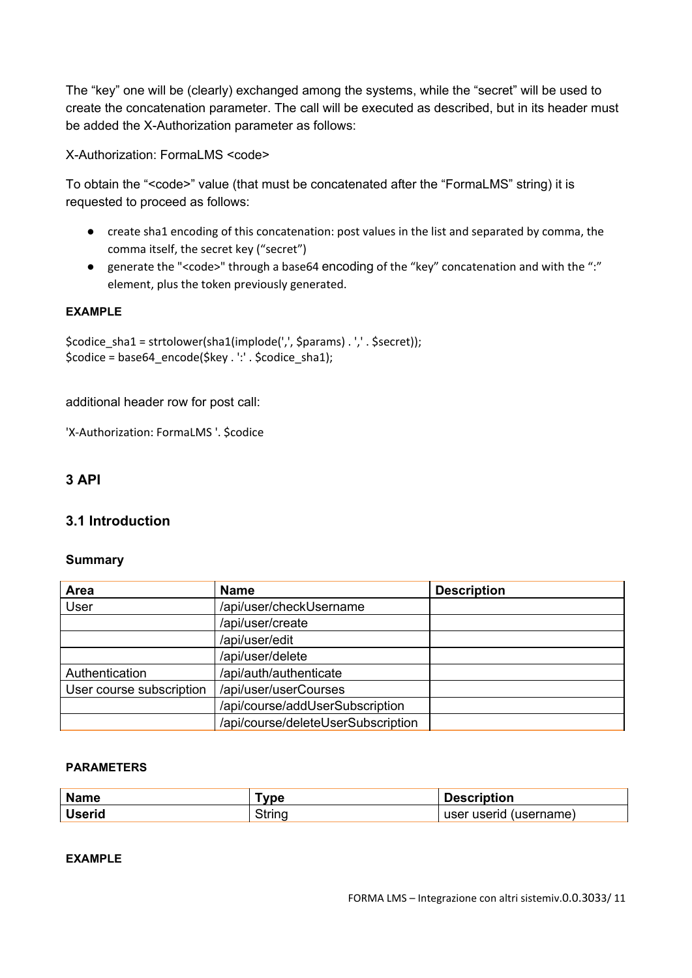The "key" one will be (clearly) exchanged among the systems, while the "secret" will be used to create the concatenation parameter. The call will be executed as described, but in its header must be added the X-Authorization parameter as follows:

X-Authorization: FormaLMS <code>

To obtain the "<code>" value (that must be concatenated after the "FormaLMS" string) it is requested to proceed as follows:

- create sha1 encoding of this concatenation: post values in the list and separated by comma, the comma itself, the secret key ("secret")
- generate the "<code>" through a base64 encoding of the "key" concatenation and with the ":" element, plus the token previously generated.

## **EXAMPLE**

\$codice\_sha1 = strtolower(sha1(implode(',', \$params) . ',' . \$secret)); \$codice = base64\_encode(\$key . ':' . \$codice\_sha1);

additional header row for post call:

'X-Authorization: FormaLMS '. \$codice

# <span id="page-2-0"></span>**3 API**

# <span id="page-2-1"></span>**3.1 Introduction**

## **Summary**

| Area                     | <b>Name</b>                        | <b>Description</b> |
|--------------------------|------------------------------------|--------------------|
| User                     | /api/user/checkUsername            |                    |
|                          | /api/user/create                   |                    |
|                          | /api/user/edit                     |                    |
|                          | /api/user/delete                   |                    |
| Authentication           | /api/auth/authenticate             |                    |
| User course subscription | /api/user/userCourses              |                    |
|                          | /api/course/addUserSubscription    |                    |
|                          | /api/course/deleteUserSubscription |                    |

#### **PARAMETERS**

| <b>Name</b>   | vne    | <b>Description</b>     |
|---------------|--------|------------------------|
| <b>Userid</b> | Strino | user userid (username) |

## **EXAMPLE**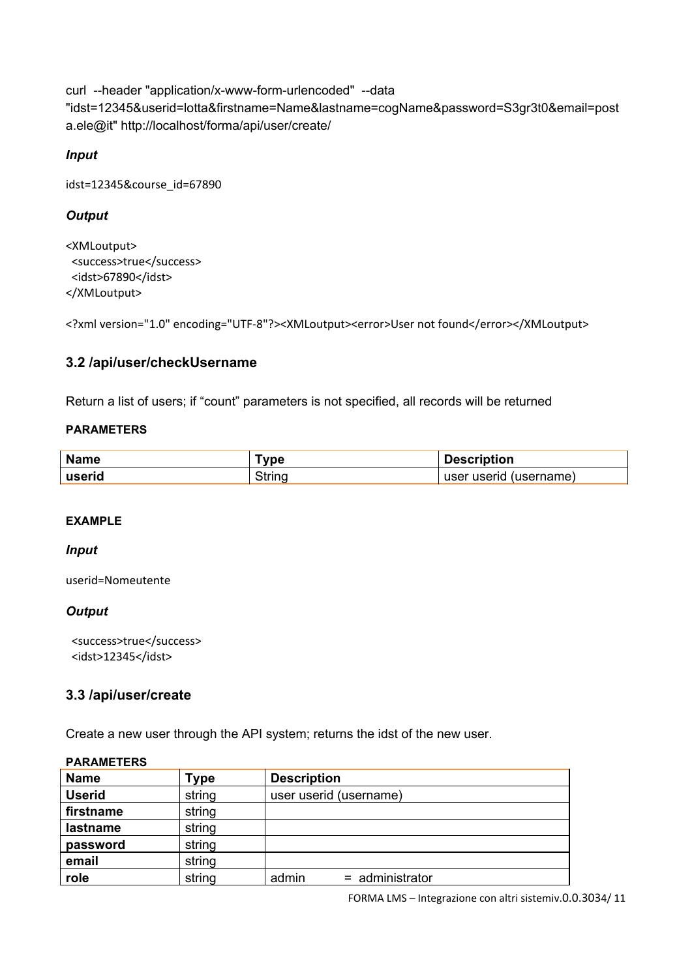curl --header "application/x-www-form-urlencoded" --data "idst=12345&userid=lotta&firstname=Name&lastname=cogName&password=S3gr3t0&email=post a.ele@it" http://localhost/forma/api/user/create/

# *Input*

idst=12345&course\_id=67890

# *Output*

<XMLoutput> <success>true</success> <idst>67890</idst> </XMLoutput>

<?xml version="1.0" encoding="UTF-8"?><XMLoutput><error>User not found</error></XMLoutput>

# <span id="page-3-0"></span>**3.2 /api/user/checkUsername**

Return a list of users; if "count" parameters is not specified, all records will be returned

## **PARAMETERS**

| <b>Name</b> | ™vpe   | <b>Description</b>     |
|-------------|--------|------------------------|
| userid      | Strino | user userid (username) |

## **EXAMPLE**

#### *Input*

userid=Nomeutente

## *Output*

<success>true</success> <idst>12345</idst>

## <span id="page-3-1"></span>**3.3 /api/user/create**

Create a new user through the API system; returns the idst of the new user.

| <b>PARAMETERS</b> |        |                            |  |  |
|-------------------|--------|----------------------------|--|--|
| <b>Name</b>       | Гуре   | <b>Description</b>         |  |  |
| <b>Userid</b>     | string | user userid (username)     |  |  |
| firstname         | string |                            |  |  |
| lastname          | string |                            |  |  |
| password          | string |                            |  |  |
| email             | string |                            |  |  |
| role              | string | $=$ administrator<br>admin |  |  |

#### FORMA LMS – Integrazione con altri sistemiv.0.0.3034/ 11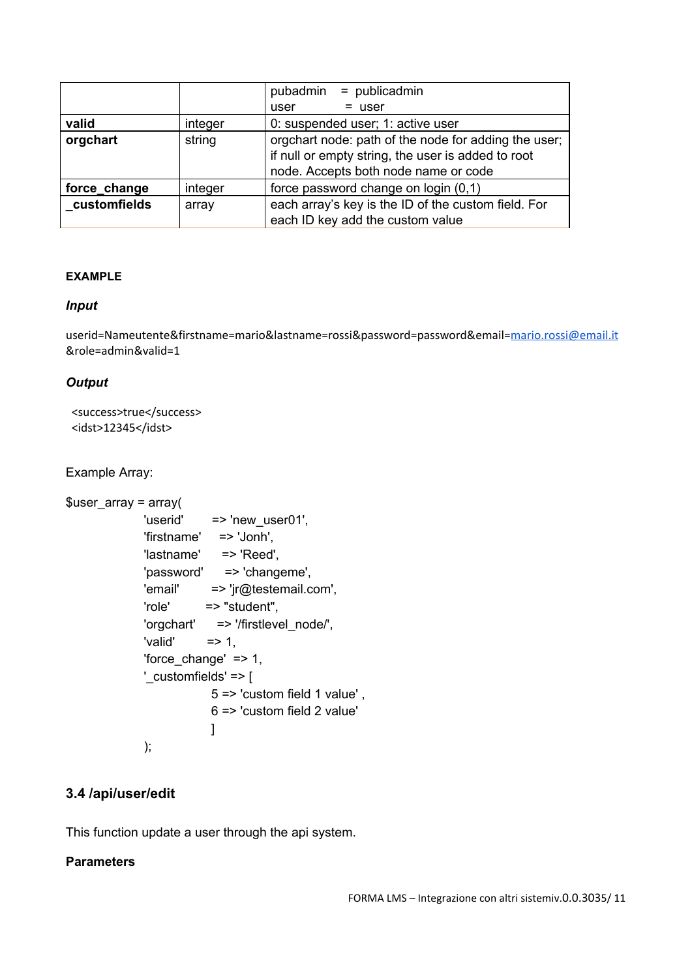|              |         | pubadmin = publicadmin                                                                                                                             |  |
|--------------|---------|----------------------------------------------------------------------------------------------------------------------------------------------------|--|
|              |         | $=$ user<br>user                                                                                                                                   |  |
| valid        | integer | 0: suspended user; 1: active user                                                                                                                  |  |
| orgchart     | string  | orgchart node: path of the node for adding the user;<br>if null or empty string, the user is added to root<br>node. Accepts both node name or code |  |
| force_change | integer | force password change on login (0,1)                                                                                                               |  |
| customfields | array   | each array's key is the ID of the custom field. For                                                                                                |  |
|              |         | each ID key add the custom value                                                                                                                   |  |

## **EXAMPLE**

#### *Input*

userid=Nameutente&firstname=mario&lastname=rossi&password=password&email=[mario.rossi@email.it](mailto:mario.rossi@email.it) &role=admin&valid=1

#### *Output*

```
<success>true</success>
<idst>12345</idst>
```
Example Array:

```
$user_array = array(
             'userid' => 'new_user01',
             'firstname' => 'Jonh',
             'lastname' => 'Reed',
             'password' => 'changeme',
             'email' => 'jr@testemail.com',
             'role' => "student",
             'orgchart' => '/firstlevel_node/',
             'valid' \Rightarrow 1,
             'force_change' => 1,
             '_customfields' => [
                         5 => 'custom field 1 value' ,
                         6 => 'custom field 2 value'
                         ]
             );
```
# <span id="page-4-0"></span>**3.4 /api/user/edit**

This function update a user through the api system.

## **Parameters**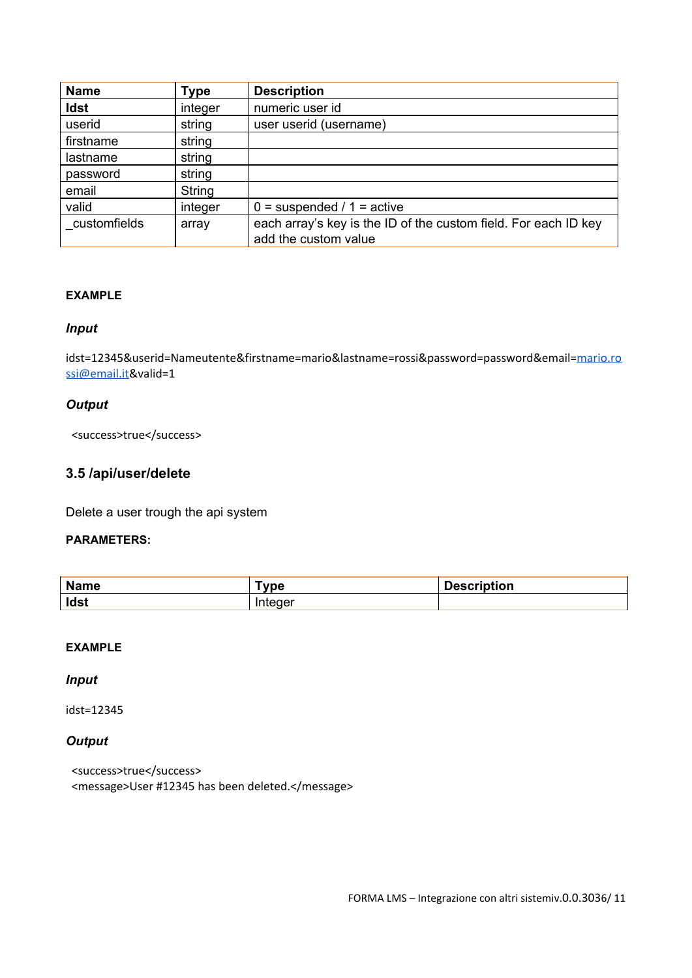| <b>Name</b>  | <b>Type</b> | <b>Description</b>                                                                      |
|--------------|-------------|-----------------------------------------------------------------------------------------|
| <b>Idst</b>  | integer     | numeric user id                                                                         |
| userid       | string      | user userid (username)                                                                  |
| firstname    | string      |                                                                                         |
| lastname     | string      |                                                                                         |
| password     | string      |                                                                                         |
| email        | String      |                                                                                         |
| valid        | integer     | $0 =$ suspended / 1 = active                                                            |
| customfields | array       | each array's key is the ID of the custom field. For each ID key<br>add the custom value |

## **EXAMPLE**

## *Input*

idst=12345&userid=Nameutente&firstname=mario&lastname=rossi&password=password&email[=mario.ro](mailto:mario.rossi@email.it) [ssi@email.it](mailto:mario.rossi@email.it)&valid=1

#### *Output*

<success>true</success>

# <span id="page-5-0"></span>**3.5 /api/user/delete**

Delete a user trough the api system

## **PARAMETERS:**

| <b>Name</b> | <b>vpe</b> | iption |
|-------------|------------|--------|
| Idst        | . .<br>. . |        |

## **EXAMPLE**

## *Input*

idst=12345

# *Output*

<success>true</success> <message>User #12345 has been deleted.</message>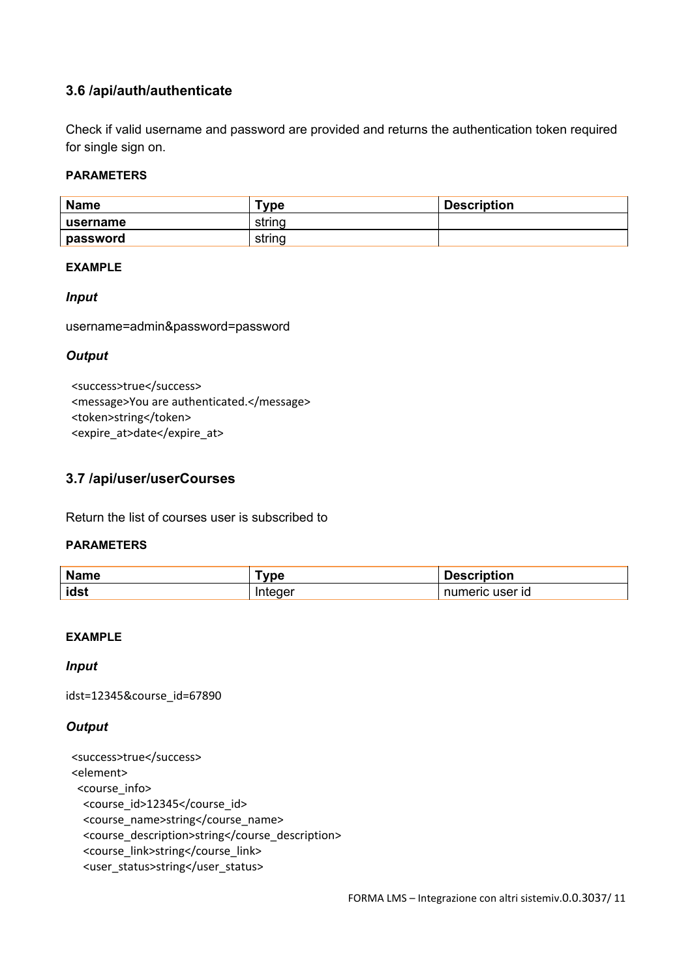# <span id="page-6-0"></span>**3.6 /api/auth/authenticate**

Check if valid username and password are provided and returns the authentication token required for single sign on.

## **PARAMETERS**

| <b>Name</b> | $\mathsf{Type}$ | <b>Description</b> |
|-------------|-----------------|--------------------|
| username    | string          |                    |
| password    | string          |                    |

#### **EXAMPLE**

#### *Input*

username=admin&password=password

#### *Output*

<success>true</success> <message>You are authenticated.</message> <token>string</token> <expire\_at>date</expire\_at>

## <span id="page-6-1"></span>**3.7 /api/user/userCourses**

Return the list of courses user is subscribed to

#### **PARAMETERS**

| <b>Name</b> | <b>vpe</b> | <b>Description</b> |
|-------------|------------|--------------------|
| idst        | integer    | numeric user id    |

## **EXAMPLE**

#### *Input*

idst=12345&course\_id=67890

#### *Output*

```
<success>true</success>
<element>
<course_info>
  <course_id>12345</course_id>
  <course_name>string</course_name>
  <course_description>string</course_description>
  <course_link>string</course_link>
  <user_status>string</user_status>
```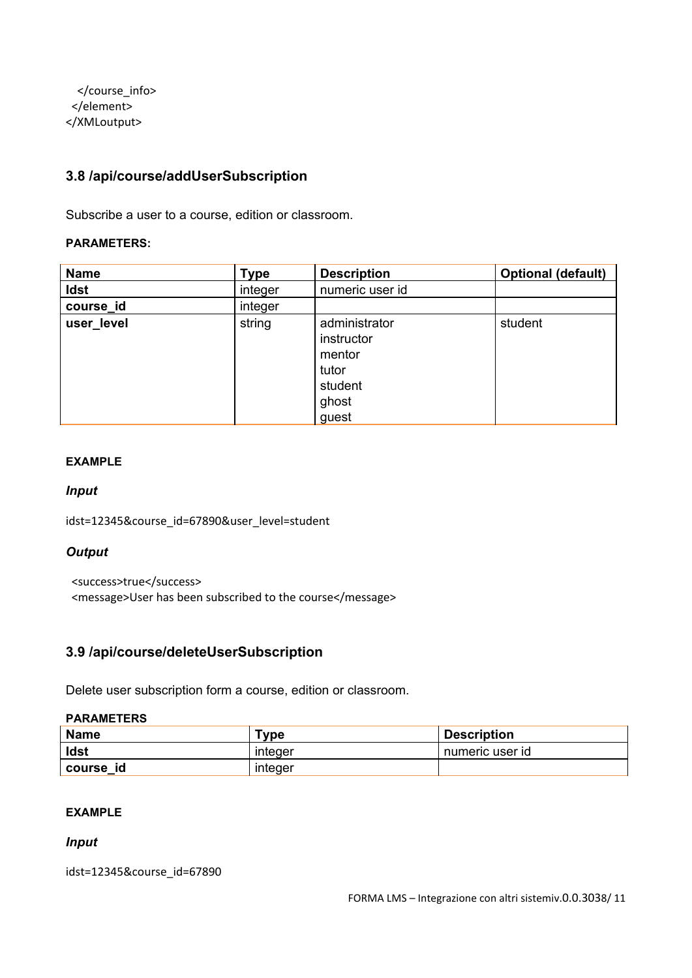</course\_info> </element> </XMLoutput>

# <span id="page-7-0"></span>**3.8 /api/course/addUserSubscription**

Subscribe a user to a course, edition or classroom.

#### **PARAMETERS:**

| <b>Name</b> | <b>Type</b> | <b>Description</b>                                                          | <b>Optional (default)</b> |
|-------------|-------------|-----------------------------------------------------------------------------|---------------------------|
| <b>Idst</b> | integer     | numeric user id                                                             |                           |
| course_id   | integer     |                                                                             |                           |
| user_level  | string      | administrator<br>instructor<br>mentor<br>tutor<br>student<br>ghost<br>guest | student                   |

#### **EXAMPLE**

#### *Input*

idst=12345&course\_id=67890&user\_level=student

#### *Output*

<success>true</success> <message>User has been subscribed to the course</message>

# <span id="page-7-1"></span>**3.9 /api/course/deleteUserSubscription**

Delete user subscription form a course, edition or classroom.

#### **PARAMETERS**

| <b>Name</b>   | ™vpe    | <b>Description</b> |
|---------------|---------|--------------------|
| <b>Idst</b>   | integer | numeric user id    |
| course<br>-id | integer |                    |

#### **EXAMPLE**

#### *Input*

idst=12345&course\_id=67890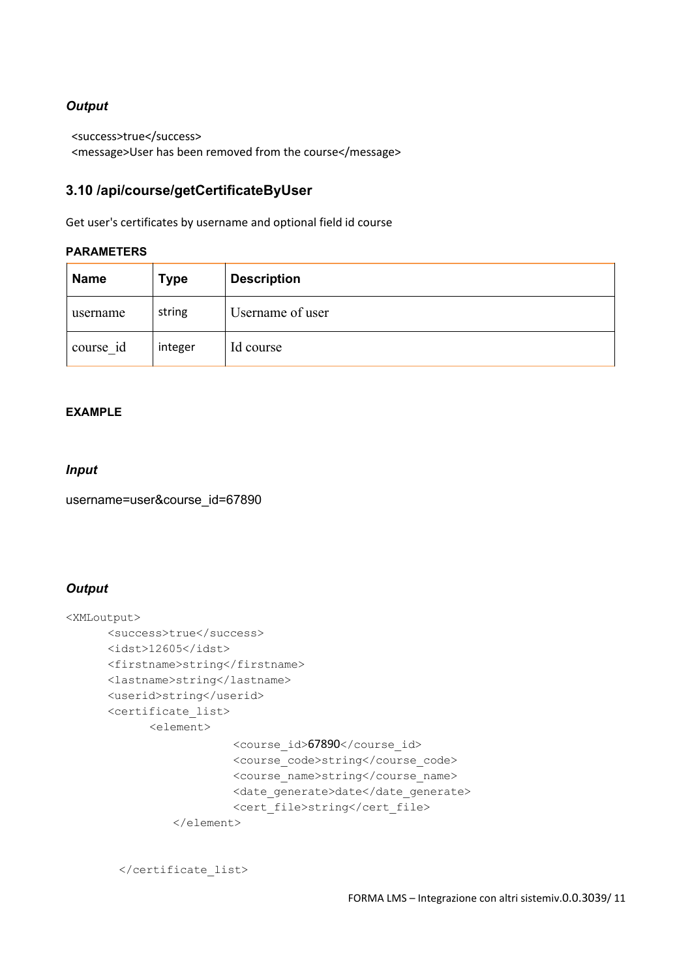# *Output*

<success>true</success> <message>User has been removed from the course</message>

# <span id="page-8-0"></span>**3.10 /api/course/getCertificateByUser**

Get user's certificates by username and optional field id course

#### **PARAMETERS**

| <b>Name</b> | <b>Type</b> | <b>Description</b> |
|-------------|-------------|--------------------|
| username    | string      | Username of user   |
| course id   | integer     | Id course          |

#### **EXAMPLE**

## *Input*

username=user&course\_id=67890

## *Output*

```
<XMLoutput>
      <success>true</success>
      <idst>12605</idst>
      <firstname>string</firstname>
      <lastname>string</lastname>
      <userid>string</userid>
      <certificate_list>
            <element>
                        <course_id>67890</course_id>
                        <course_code>string</course_code>
                        <course_name>string</course_name>
                        <date generate>date</date generate>
                        <cert_file>string</cert_file>
                </element>
```
</certificate\_list>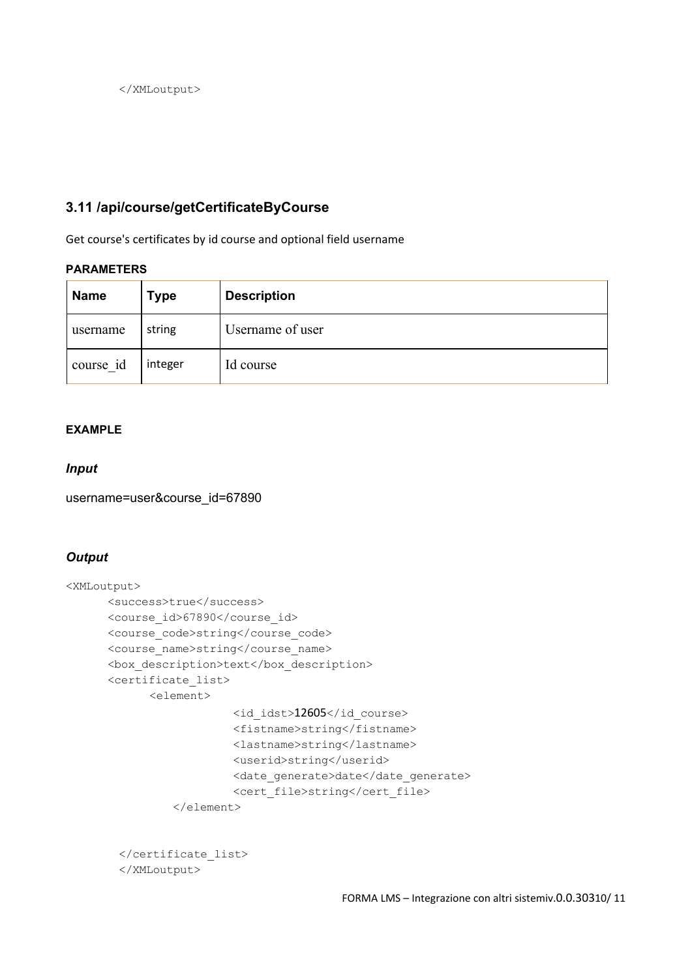</XMLoutput>

# <span id="page-9-0"></span>**3.11 /api/course/getCertificateByCourse**

Get course's certificates by id course and optional field username

# **PARAMETERS**

| <b>Name</b> | Type    | <b>Description</b> |
|-------------|---------|--------------------|
| username    | string  | Username of user   |
| course id   | integer | Id course          |

## **EXAMPLE**

#### *Input*

username=user&course\_id=67890

# *Output*

```
<XMLoutput>
      <success>true</success>
      <course_id>67890</course_id>
      <course_code>string</course_code>
      <course_name>string</course_name>
      <box_description>text</box_description>
      <certificate_list>
            <element>
                        <id_idst>12605</id_course>
                        <fistname>string</fistname>
                        <lastname>string</lastname>
                        <userid>string</userid>
                        <date_generate>date</date_generate>
                        <cert_file>string</cert_file>
                </element>
```

```
</certificate_list>
</XMLoutput>
```